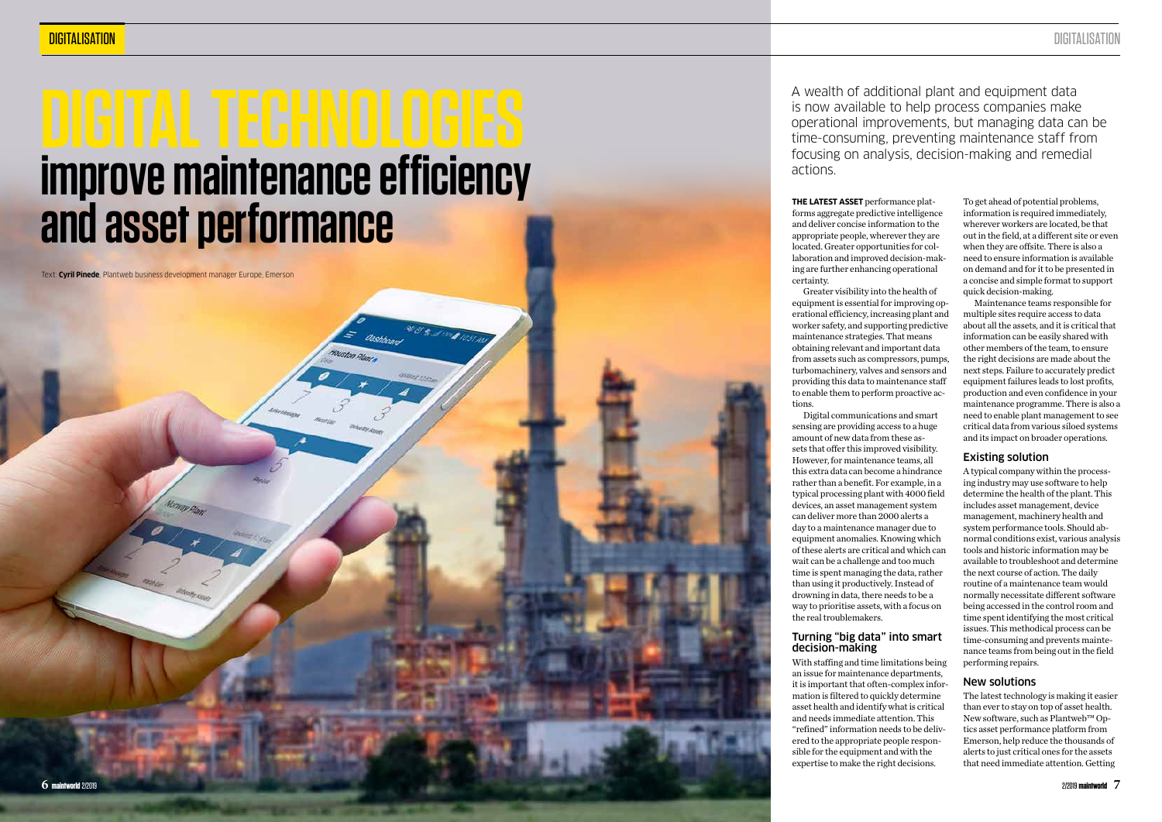A wealth of additional plant and equipment data is now available to help process companies make operational improvements, but managing data can be time-consuming, preventing maintenance staff from focusing on analysis, decision-making and remedial actions.

# **improve maintenance efficiency and asset performance**

Ston Plane

**THE LATEST ASSET** performance platforms aggregate predictive intelligence and deliver concise information to the appropriate people, wherever they are located. Greater opportunities for col laboration and improved decision-mak ing are further enhancing operational certainty.

Greater visibility into the health of equipment is essential for improving op erational efficiency, increasing plant and worker safety, and supporting predictive maintenance strategies. That means obtaining relevant and important data from assets such as compressors, pumps, turbomachinery, valves and sensors and providing this data to maintenance staff to enable them to perform proactive ac tions.

Digital communications and smart sensing are providing access to a huge amount of new data from these as sets that offer this improved visibility. However, for maintenance teams, all this extra data can become a hindrance rather than a benefit. For example, in a typical processing plant with 4000 field devices, an asset management system can deliver more than 2000 alerts a day to a maintenance manager due to equipment anomalies. Knowing which of these alerts are critical and which can wait can be a challenge and too much time is spent managing the data, rather than using it productively. Instead of drowning in data, there needs to be a way to prioritise assets, with a focus on the real troublemakers.

### Turning "big data" into smart decision-making

With staffing and time limitations being an issue for maintenance departments, it is important that often-complex infor mation is filtered to quickly determine asset health and identify what is critical and needs immediate attention. This "refined" information needs to be deliv ered to the appropriate people respon sible for the equipment and with the expertise to make the right decisions.

To get ahead of potential problems, information is required immediately, wherever workers are located, be that out in the field, at a different site or even when they are offsite. There is also a need to ensure information is available on demand and for it to be presented in a concise and simple format to support quick decision-making.

Maintenance teams responsible for multiple sites require access to data about all the assets, and it is critical that information can be easily shared with other members of the team, to ensure the right decisions are made about the next steps. Failure to accurately predict equipment failures leads to lost profits, production and even confidence in your maintenance programme. There is also a need to enable plant management to see critical data from various siloed systems and its impact on broader operations.

### Existing solution

A typical company within the process ing industry may use software to help determine the health of the plant. This includes asset management, device management, machinery health and system performance tools. Should ab normal conditions exist, various analysis tools and historic information may be available to troubleshoot and determine the next course of action. The daily routine of a maintenance team would normally necessitate different software being accessed in the control room and time spent identifying the most critical issues. This methodical process can be time-consuming and prevents mainte nance teams from being out in the field performing repairs .

### New solutions

The latest technology is making it easier than ever to stay on top of asset health. New software, such as Plantweb™ Optics asset performance platform from Emerson, help reduce the thousands of alerts to just critical ones for the assets that need immediate attention. Getting

Text: **Cyril Pinede**, Plantweb business development manager Europe, Emerson